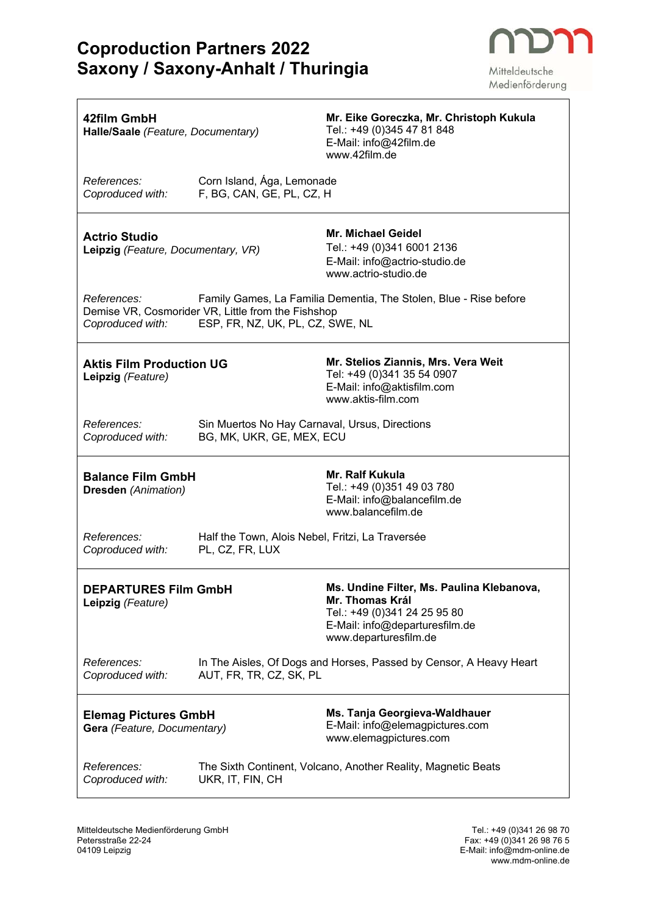

٦

Medienförderung

| 42film GmbH<br>Halle/Saale (Feature, Documentary)          |                                                                                        | Mr. Eike Goreczka, Mr. Christoph Kukula<br>Tel.: +49 (0)345 47 81 848<br>E-Mail: info@42film.de<br>www.42film.de                                        |
|------------------------------------------------------------|----------------------------------------------------------------------------------------|---------------------------------------------------------------------------------------------------------------------------------------------------------|
| References:<br>Coproduced with:                            | Corn Island, Ága, Lemonade<br>F, BG, CAN, GE, PL, CZ, H                                |                                                                                                                                                         |
| <b>Actrio Studio</b><br>Leipzig (Feature, Documentary, VR) |                                                                                        | Mr. Michael Geidel<br>Tel.: +49 (0)341 6001 2136<br>E-Mail: info@actrio-studio.de<br>www.actrio-studio.de                                               |
| References:<br>Coproduced with:                            | Demise VR, Cosmorider VR, Little from the Fishshop<br>ESP, FR, NZ, UK, PL, CZ, SWE, NL | Family Games, La Familia Dementia, The Stolen, Blue - Rise before                                                                                       |
| <b>Aktis Film Production UG</b><br>Leipzig (Feature)       |                                                                                        | Mr. Stelios Ziannis, Mrs. Vera Weit<br>Tel: +49 (0)341 35 54 0907<br>E-Mail: info@aktisfilm.com<br>www.aktis-film.com                                   |
| References:<br>Coproduced with:                            | Sin Muertos No Hay Carnaval, Ursus, Directions<br>BG, MK, UKR, GE, MEX, ECU            |                                                                                                                                                         |
| <b>Balance Film GmbH</b><br><b>Dresden</b> (Animation)     |                                                                                        | <b>Mr. Ralf Kukula</b><br>Tel.: +49 (0)351 49 03 780<br>E-Mail: info@balancefilm.de<br>www.balancefilm.de                                               |
| References:<br>Coproduced with:                            | Half the Town, Alois Nebel, Fritzi, La Traversée<br>PL, CZ, FR, LUX                    |                                                                                                                                                         |
| <b>DEPARTURES Film GmbH</b><br>Leipzig (Feature)           |                                                                                        | Ms. Undine Filter, Ms. Paulina Klebanova,<br>Mr. Thomas Král<br>Tel.: +49 (0)341 24 25 95 80<br>E-Mail: info@departuresfilm.de<br>www.departuresfilm.de |
| References:<br>Coproduced with:                            | AUT, FR, TR, CZ, SK, PL                                                                | In The Aisles, Of Dogs and Horses, Passed by Censor, A Heavy Heart                                                                                      |
| <b>Elemag Pictures GmbH</b><br>Gera (Feature, Documentary) |                                                                                        | Ms. Tanja Georgieva-Waldhauer<br>E-Mail: info@elemagpictures.com<br>www.elemagpictures.com                                                              |
| References:<br>Coproduced with:                            | UKR, IT, FIN, CH                                                                       | The Sixth Continent, Volcano, Another Reality, Magnetic Beats                                                                                           |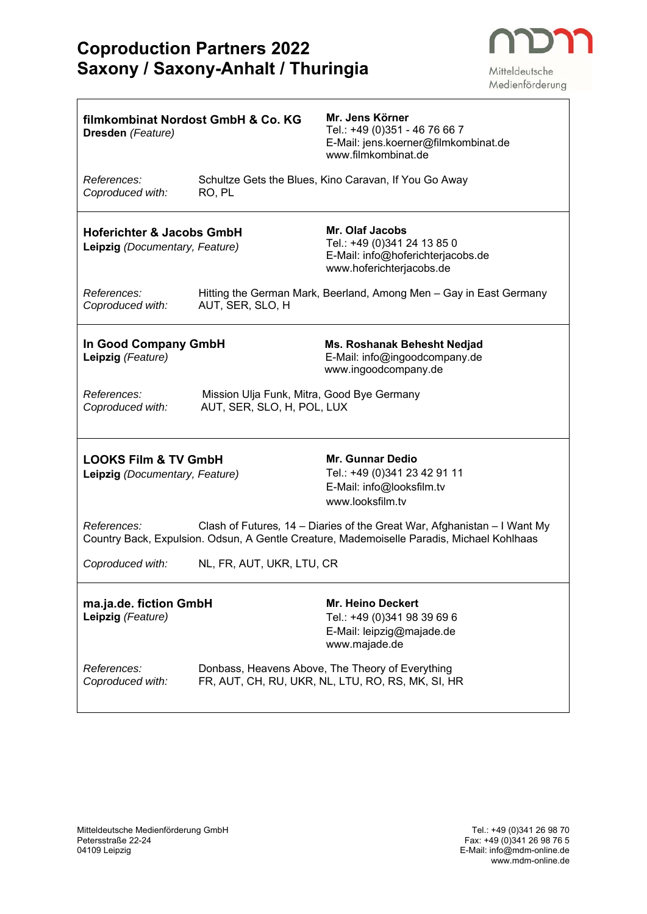$\mathbf{r}$ 



Medienförderung

| filmkombinat Nordost GmbH & Co. KG<br>Dresden (Feature)                                                                                                                              |                                                                          | Mr. Jens Körner<br>Tel.: +49 (0)351 - 46 76 66 7<br>E-Mail: jens.koerner@filmkombinat.de<br>www.filmkombinat.de |  |
|--------------------------------------------------------------------------------------------------------------------------------------------------------------------------------------|--------------------------------------------------------------------------|-----------------------------------------------------------------------------------------------------------------|--|
| References:<br>Coproduced with:                                                                                                                                                      | RO, PL                                                                   | Schultze Gets the Blues, Kino Caravan, If You Go Away                                                           |  |
| <b>Hoferichter &amp; Jacobs GmbH</b><br>Leipzig (Documentary, Feature)                                                                                                               |                                                                          | Mr. Olaf Jacobs<br>Tel.: +49 (0)341 24 13 85 0<br>E-Mail: info@hoferichterjacobs.de<br>www.hoferichterjacobs.de |  |
| References:<br>Coproduced with:                                                                                                                                                      | AUT, SER, SLO, H                                                         | Hitting the German Mark, Beerland, Among Men - Gay in East Germany                                              |  |
| In Good Company GmbH<br>Leipzig (Feature)                                                                                                                                            |                                                                          | Ms. Roshanak Behesht Nedjad<br>E-Mail: info@ingoodcompany.de<br>www.ingoodcompany.de                            |  |
| <i>References:</i><br>Coproduced with:                                                                                                                                               | Mission Ulja Funk, Mitra, Good Bye Germany<br>AUT, SER, SLO, H, POL, LUX |                                                                                                                 |  |
| <b>LOOKS Film &amp; TV GmbH</b><br>Leipzig (Documentary, Feature)                                                                                                                    |                                                                          | Mr. Gunnar Dedio<br>Tel.: +49 (0)341 23 42 91 11<br>E-Mail: info@looksfilm.tv<br>www.looksfilm.tv               |  |
| References:<br>Clash of Futures, 14 – Diaries of the Great War, Afghanistan – I Want My<br>Country Back, Expulsion. Odsun, A Gentle Creature, Mademoiselle Paradis, Michael Kohlhaas |                                                                          |                                                                                                                 |  |
| Coproduced with:                                                                                                                                                                     | NL, FR, AUT, UKR, LTU, CR                                                |                                                                                                                 |  |
| ma.ja.de. fiction GmbH<br>Leipzig (Feature)                                                                                                                                          |                                                                          | <b>Mr. Heino Deckert</b><br>Tel.: +49 (0)341 98 39 69 6<br>E-Mail: leipzig@majade.de<br>www.majade.de           |  |
| References:<br>Coproduced with:                                                                                                                                                      |                                                                          | Donbass, Heavens Above, The Theory of Everything<br>FR, AUT, CH, RU, UKR, NL, LTU, RO, RS, MK, SI, HR           |  |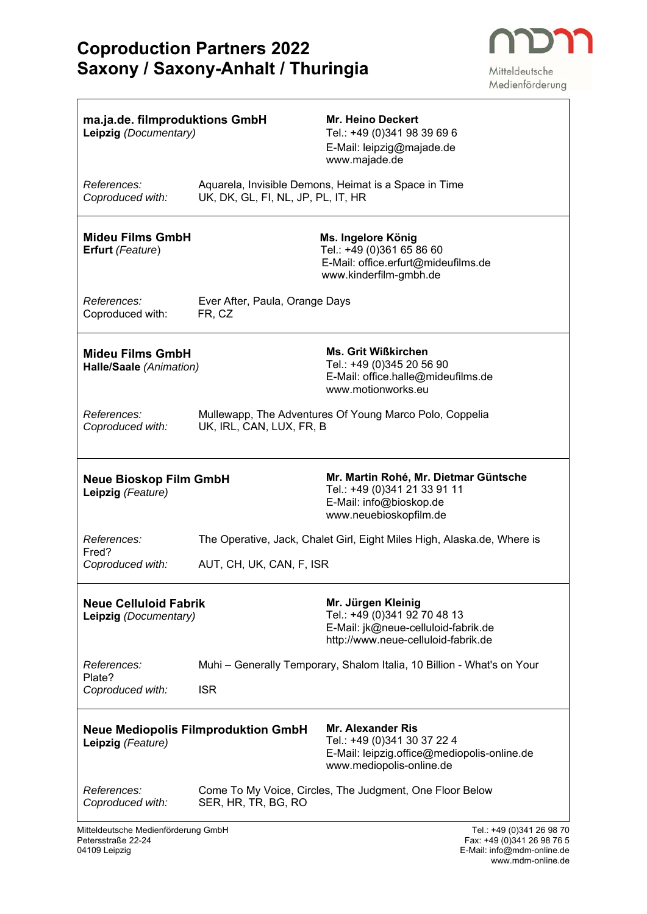

Mitteldeutsche Medienförderung

| ma.ja.de. filmproduktions GmbH<br>Leipzig (Documentary) |                                                                                             | <b>Mr. Heino Deckert</b><br>Tel.: +49 (0)341 98 39 69 6<br>E-Mail: leipzig@majade.de<br>www.majade.de                              |
|---------------------------------------------------------|---------------------------------------------------------------------------------------------|------------------------------------------------------------------------------------------------------------------------------------|
| References:<br>Coproduced with:                         | Aquarela, Invisible Demons, Heimat is a Space in Time<br>UK, DK, GL, FI, NL, JP, PL, IT, HR |                                                                                                                                    |
| <b>Mideu Films GmbH</b><br>Erfurt (Feature)             |                                                                                             | Ms. Ingelore König<br>Tel.: +49 (0)361 65 86 60<br>E-Mail: office.erfurt@mideufilms.de<br>www.kinderfilm-gmbh.de                   |
| References:<br>Coproduced with:                         | Ever After, Paula, Orange Days<br>FR, CZ                                                    |                                                                                                                                    |
| <b>Mideu Films GmbH</b><br>Halle/Saale (Animation)      |                                                                                             | <b>Ms. Grit Wißkirchen</b><br>Tel.: +49 (0)345 20 56 90<br>E-Mail: office.halle@mideufilms.de<br>www.motionworks.eu                |
| References:<br>Coproduced with:                         | Mullewapp, The Adventures Of Young Marco Polo, Coppelia<br>UK, IRL, CAN, LUX, FR, B         |                                                                                                                                    |
| <b>Neue Bioskop Film GmbH</b><br>Leipzig (Feature)      |                                                                                             | Mr. Martin Rohé, Mr. Dietmar Güntsche<br>Tel.: +49 (0)341 21 33 91 11<br>E-Mail: info@bioskop.de<br>www.neuebioskopfilm.de         |
| References:<br>Fred?                                    |                                                                                             | The Operative, Jack, Chalet Girl, Eight Miles High, Alaska.de, Where is                                                            |
| Coproduced with:                                        | AUT, CH, UK, CAN, F, ISR                                                                    |                                                                                                                                    |
| <b>Neue Celluloid Fabrik</b><br>Leipzig (Documentary)   |                                                                                             | Mr. Jürgen Kleinig<br>Tel.: +49 (0)341 92 70 48 13<br>E-Mail: jk@neue-celluloid-fabrik.de<br>http://www.neue-celluloid-fabrik.de   |
| References:                                             | Muhi - Generally Temporary, Shalom Italia, 10 Billion - What's on Your                      |                                                                                                                                    |
| Plate?<br>Coproduced with:                              | <b>ISR</b>                                                                                  |                                                                                                                                    |
| Leipzig (Feature)                                       | <b>Neue Mediopolis Filmproduktion GmbH</b>                                                  | <b>Mr. Alexander Ris</b><br>Tel.: +49 (0)341 30 37 22 4<br>E-Mail: leipzig.office@mediopolis-online.de<br>www.mediopolis-online.de |
| References:<br>Coproduced with:                         | Come To My Voice, Circles, The Judgment, One Floor Below<br>SER, HR, TR, BG, RO             |                                                                                                                                    |

Mitteldeutsche Medienförderung GmbH<br>Petersstraße 22-24 Mitteldeutsche Medienförderung GmbH<br>Petersstraße 22-24 Fax: +49 (0)341 26 98 70<br>D4109 Leipzig Fax: +49 (0)341 26 98 76 5<br>E-Mail: info@mdm-online.de 04109 Leipzig E-Mail: info@mdm-online.de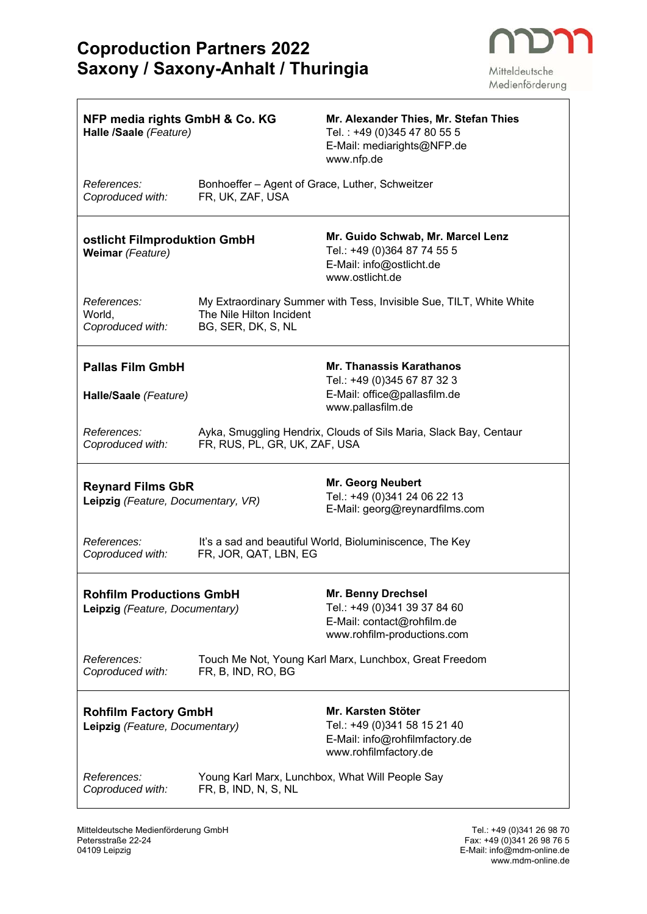

 $\overline{\mathbb{I}}$ 

Medienförderung

| NFP media rights GmbH & Co. KG<br>Halle /Saale (Feature)          |                                                                     | Mr. Alexander Thies, Mr. Stefan Thies<br>Tel.: +49 (0)345 47 80 55 5<br>E-Mail: mediarights@NFP.de<br>www.nfp.de    |
|-------------------------------------------------------------------|---------------------------------------------------------------------|---------------------------------------------------------------------------------------------------------------------|
| References:<br>Coproduced with:                                   | Bonhoeffer - Agent of Grace, Luther, Schweitzer<br>FR, UK, ZAF, USA |                                                                                                                     |
| ostlicht Filmproduktion GmbH<br>Weimar (Feature)                  |                                                                     | Mr. Guido Schwab, Mr. Marcel Lenz<br>Tel.: +49 (0)364 87 74 55 5<br>E-Mail: info@ostlicht.de<br>www.ostlicht.de     |
| References:<br>World,<br>Coproduced with:                         | The Nile Hilton Incident<br>BG, SER, DK, S, NL                      | My Extraordinary Summer with Tess, Invisible Sue, TILT, White White                                                 |
| <b>Pallas Film GmbH</b><br>Halle/Saale (Feature)                  |                                                                     | <b>Mr. Thanassis Karathanos</b><br>Tel.: +49 (0)345 67 87 32 3<br>E-Mail: office@pallasfilm.de<br>www.pallasfilm.de |
| References:<br>Coproduced with:                                   | FR, RUS, PL, GR, UK, ZAF, USA                                       | Ayka, Smuggling Hendrix, Clouds of Sils Maria, Slack Bay, Centaur                                                   |
| <b>Reynard Films GbR</b><br>Leipzig (Feature, Documentary, VR)    |                                                                     | <b>Mr. Georg Neubert</b><br>Tel.: +49 (0)341 24 06 22 13<br>E-Mail: georg@reynardfilms.com                          |
| References:<br>Coproduced with:                                   | FR, JOR, QAT, LBN, EG                                               | It's a sad and beautiful World, Bioluminiscence, The Key                                                            |
| <b>Rohfilm Productions GmbH</b><br>Leipzig (Feature, Documentary) |                                                                     | Mr. Benny Drechsel<br>Tel.: +49 (0)341 39 37 84 60<br>E-Mail: contact@rohfilm.de<br>www.rohfilm-productions.com     |
| References:<br>Coproduced with:                                   | FR, B, IND, RO, BG                                                  | Touch Me Not, Young Karl Marx, Lunchbox, Great Freedom                                                              |
| <b>Rohfilm Factory GmbH</b><br>Leipzig (Feature, Documentary)     |                                                                     | Mr. Karsten Stöter<br>Tel.: +49 (0)341 58 15 21 40<br>E-Mail: info@rohfilmfactory.de<br>www.rohfilmfactory.de       |
| References:<br>Coproduced with:                                   | FR, B, IND, N, S, NL                                                | Young Karl Marx, Lunchbox, What Will People Say                                                                     |

www.mdm-online.de